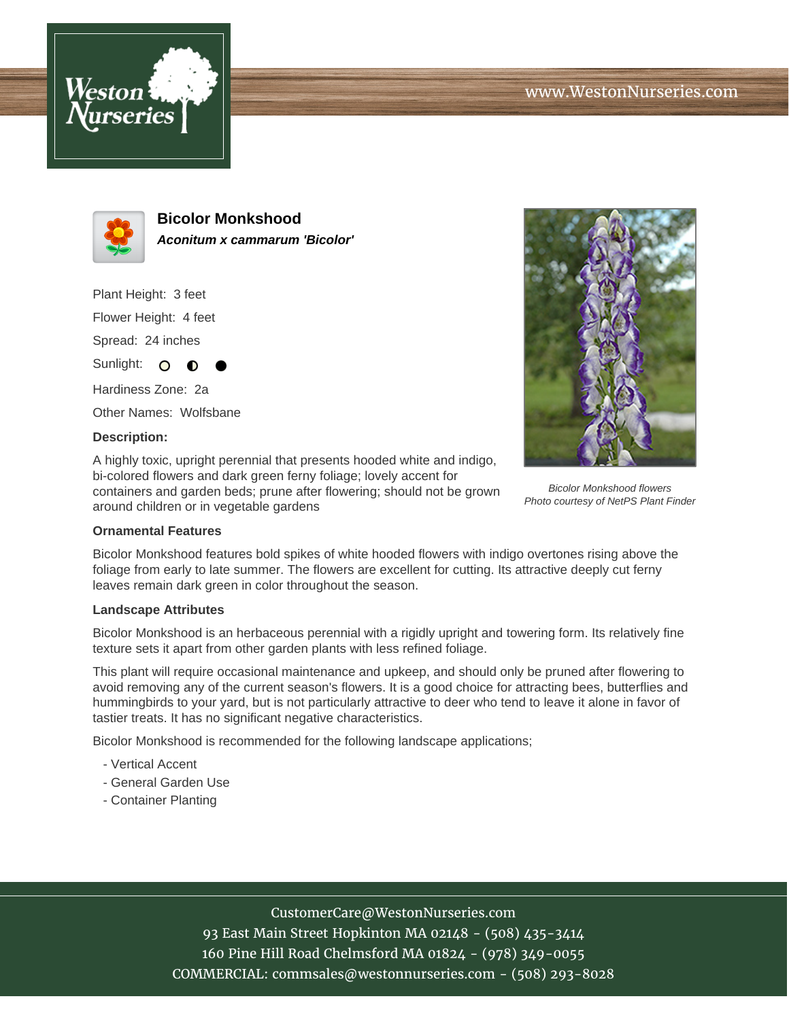



**Bicolor Monkshood Aconitum x cammarum 'Bicolor'**

Plant Height: 3 feet Flower Height: 4 feet Spread: 24 inches

Hardiness Zone: 2a Other Names: Wolfsbane

∩

### **Description:**

Sunlight: O

A highly toxic, upright perennial that presents hooded white and indigo, bi-colored flowers and dark green ferny foliage; lovely accent for containers and garden beds; prune after flowering; should not be grown around children or in vegetable gardens



Bicolor Monkshood flowers Photo courtesy of NetPS Plant Finder

#### **Ornamental Features**

Bicolor Monkshood features bold spikes of white hooded flowers with indigo overtones rising above the foliage from early to late summer. The flowers are excellent for cutting. Its attractive deeply cut ferny leaves remain dark green in color throughout the season.

#### **Landscape Attributes**

Bicolor Monkshood is an herbaceous perennial with a rigidly upright and towering form. Its relatively fine texture sets it apart from other garden plants with less refined foliage.

This plant will require occasional maintenance and upkeep, and should only be pruned after flowering to avoid removing any of the current season's flowers. It is a good choice for attracting bees, butterflies and hummingbirds to your yard, but is not particularly attractive to deer who tend to leave it alone in favor of tastier treats. It has no significant negative characteristics.

Bicolor Monkshood is recommended for the following landscape applications;

- Vertical Accent
- General Garden Use
- Container Planting

# CustomerCare@WestonNurseries.com

93 East Main Street Hopkinton MA 02148 - (508) 435-3414 160 Pine Hill Road Chelmsford MA 01824 - (978) 349-0055 COMMERCIAL: commsales@westonnurseries.com - (508) 293-8028